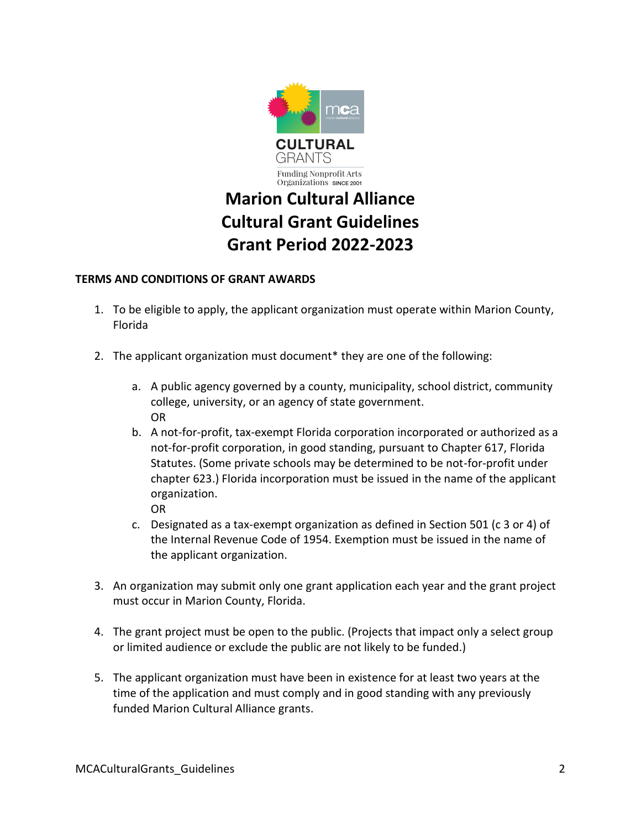

## **Marion Cultural Alliance Cultural Grant Guidelines Grant Period 2022-2023**

## **TERMS AND CONDITIONS OF GRANT AWARDS**

- 1. To be eligible to apply, the applicant organization must operate within Marion County, Florida
- 2. The applicant organization must document\* they are one of the following:
	- a. A public agency governed by a county, municipality, school district, community college, university, or an agency of state government. OR
	- b. A not-for-profit, tax-exempt Florida corporation incorporated or authorized as a not-for-profit corporation, in good standing, pursuant to Chapter 617, Florida Statutes. (Some private schools may be determined to be not-for-profit under chapter 623.) Florida incorporation must be issued in the name of the applicant organization. OR
	- c. Designated as a tax-exempt organization as defined in Section 501 (c 3 or 4) of the Internal Revenue Code of 1954. Exemption must be issued in the name of the applicant organization.
- 3. An organization may submit only one grant application each year and the grant project must occur in Marion County, Florida.
- 4. The grant project must be open to the public. (Projects that impact only a select group or limited audience or exclude the public are not likely to be funded.)
- 5. The applicant organization must have been in existence for at least two years at the time of the application and must comply and in good standing with any previously funded Marion Cultural Alliance grants.